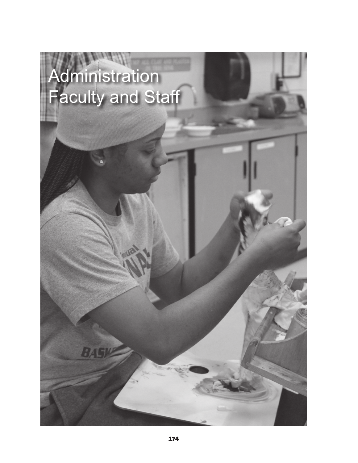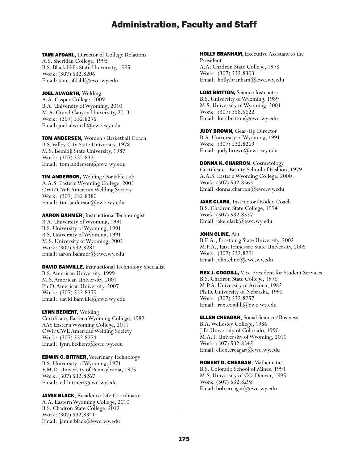TAMI AFDAHL, Director of College Relations A.S. Sheridan College, 1993 B.S. Black Hills State University, 1995 Work: (307) 532.8206 Email: tami.afdahl@ewc.wy.edu

JOEL ALWORTH, Welding A.A. Casper College, 2009 B.A. University of Wyoming, 2010 M.A. Grand Canyon University, 2013 Work: (307) 532.8275 Email: joel.alworth@ewc.wy.edu

TOM ANDERSEN, Women's Basketball Coach B.S. Valley City State University, 1978 M.S. Bemidji State University, 1987 Work: (307) 532.8321 Email: tom.andersen@ewc.wy.edu

**TIM ANDERSON, Welding/Portable Lab** A.A.S. Eastern Wyoming College, 2005 CWI/CWE American Welding Society Work: (307) 532.8380 Email: tim.anderson@ewc.wy.edu

AARON BAHMER, Instructional Technologist B.A. University of Wyoming, 1991 B.S. University of Wyoming, 1991 B.S. University of Wyoming, 1991 M.S. University of Wyoming, 2002 Work: (307) 532.8284 Email: aaron.bahmer@ewc.wy.edu

DAVID BANVILLE, Instructional Technology Specialist B.S. American University, 1999 M.S. American University, 2001 Ph.D. American University, 2007 Work: (307) 532.8379 Email: david.banville@ewc.wy.edu

LYNN BEDIENT, Welding Certificate, Eastern Wyoming College, 1982 AAS Eastern Wyoming College, 2011 CWI/CWE American Welding Society Work: (307) 532.8274 Email: lynn.bedient@ewc.wy.edu

EDWIN C. BITTNER, Veterinary Technology B.S. University of Wyoming, 1971 V.M.D. University of Pennsylvania, 1975 Work: (307) 532.8267 Email: ed.bittner@ewc.wy.edu

JAMIE BLACK, Residence Life Coordinator A.A. Eastern Wyoming College, 2010 B.S. Chadron State College, 2012 Work: (307) 532.8341 Email: jamie.black@ewc.wy.edu

HOLLY BRANHAM, Executive Assistant to the President A.A. Chadron State College, 1978 Work: (307) 532.8303 Email: holly.branham@ewc.wy.edu

LORI BRITTON, Science Instructor B.S. University of Wyoming, 1989 M.S. University of Wyoming, 2001 Work: (307) 358.5622 Email: lori.britton@ewc.wy.edu

JUDY BROWN, Gear-Up Director B.A. University of Wyoming, 1991 Work: (307) 532.8269 Email: judy.brown@ewc.wy.edu

DONNA K. CHARRON, Cosmetology Certificate - Beauty School of Fashion, 1979 A.A.S. Eastern Wyoming College, 2000 Work: (307) 532.8363 Email: donna.charron@ewc.wy.edu

JAKE CLARK, Instructor/Rodeo Coach B.S. Chadron State College, 1994 Work: (307) 532.8337 Email: jake.clark@ewc.wy.edu

JOHN CLINE, Art B.F. A., Frostburg State University, 2002 M.F.A., East Tennessee State University, 2005 Work: (307) 532.8291 Email: john.cline@ewc.wy.edu

REX J. COGDILL, Vice President for Student Services B.S. Chadron State College, 1976 M.P.A. University of Arizona, 1982 Ph.D. University of Nebraska, 1995 Work: (307) 532.8257 Email: rex.cogdill@ewc.wy.edu

ELLEN CREAGAR, Social Science/Business B.A. Wellesley College, 1986 J.D. University of Colorado, 1990 M.A.T. University of Wyoming, 2010 Work: (307) 532.8345 Email: ellen.creagar@ewc.wy.edu

ROBERT D. CREAGAR, Mathematics B.S. Colorado School of Mines, 1991 M.S. University of CO-Denver, 1995 Work: (307) 532.8298 Email: bob.creagar@ewc.wy.edu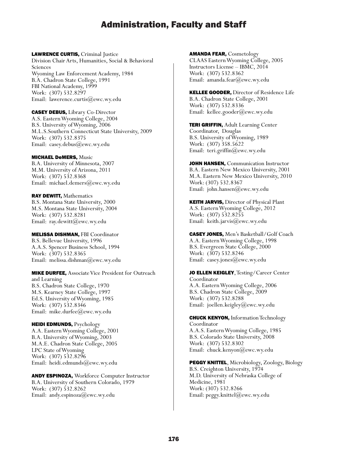LAWRENCE CURTIS, Criminal Justice Division Chair Arts, Humanities, Social & Behavioral Sciences Wyoming Law Enforcement Academy, 1984 B.A. Chadron State College, 1991 FBI National Academy, 1999 Work: (307) 532.8297 Email: lawerence.curtis@ewc.wy.edu

CASEY DEBUS, Library Co-Director A.S. Eastern Wyoming College, 2004 B.S. University of Wyoming, 2006 M.L.S.Southern Connecticut State University, 2009 Work: (307) 532.8375 Email: casey.debus@ewc.wy.edu

MICHAEL DeMERS, Music B.A. University of Minnesota, 2007 M.M. University of Arizona, 2011 Work: (307) 532.8368 Email: michael.demers@ewc.wy.edu

RAY DEWITT, Mathematics B.S. Montana State University, 2000 M.S. Montana State University, 2004 Work: (307) 532.8281 Email: ray.dewitt(*a*)ewc.wy.edu

MELISSA DISHMAN, FBI Coordinator B.S. Bellevue University, 1996 A.A.S. Spencer Business School, 1994 Work: (307) 532.8365 Email: melissa.dishman@ewc.wy.edu

MIKE DURFEE, Associate Vice President for Outreach and Learning B.S. Chadron State College, 1970 M.S. Kearney State College, 1997 Ed.S. University of Wyoming, 1985 Work: (307) 532.8346 Email: mike.durfee@ewc.wy.edu

HEIDI EDMUNDS, Psychology A.A. Eastern Wyoming College, 2001 B.A. University of Wyoming, 2003 M.A.E. Chadron State College, 2005 LPC State of Wyoming Work: (307) 532.8296 Email: heidi.edmunds@ewc.wy.edu

ANDY ESPINOZA, Workforce Computer Instructor B.A. University of Southern Colorado, 1979 Work: (307) 532.8262 Email: andy.espinoza@ewc.wy.edu

AMANDA FEAR, Cosmetology CLAAS Eastern Wyoming College, 2005 Instructors License – IBMC, 2014 Work: (307) 532.8362 Email: amanda.fear@ewc.wy.edu

KELLEE GOODER, Director of Residence Life B.A. Chadron State College, 2001 Work: (307) 532.8336 Email: kellee.gooder@ewc.wy.edu

TERI GRIFFIN, Adult Learning Center Coordinator, Douglas B.S. University of Wyoming, 1989 Work: (307) 358.5622 Email: teri.griffin@ewc.wy.edu

JOHN HANSEN, Communication Instructor B.A. Eastern New Mexico University, 2001 M.A. Eastern New Mexico University, 2010 Work: (307) 532.8367 Email: john.hansen@ewc.wy.edu

**KEITH JARVIS, Director of Physical Plant** A.S. Eastern Wyoming College, 2012 Work: (307) 532.8255 Email: keith.jarvis@ewc.wy.edu

CASEY JONES, Men's Basketball/Golf Coach A.A. Eastern Wyoming College, 1998 B.S. Evergreen State College, 2000 Work: (307) 532.8246 Email: casey.jones@ewc.wy.edu

JO ELLEN KEIGLEY, Testing/Career Center Coordinator A.A. Eastern Wyoming College, 2006 B.S. Chadron State College, 2009 Work: (307) 532.8288 Email: joellen.keigley@ewc.wy.edu

CHUCK KENYON, Information Technology Coordinator A.A.S. Eastern Wyoming College, 1985 B.S. Colorado State University, 2008 Work: (307) 532.8302 Email: chuck.kenyon@ewc.wy.edu

PEGGY KNITTEL, Microbiology, Zoology, Biology B.S. Creighton University, 1974 M.D. University of Nebraska College of Medicine, 1981 Work: (307) 532.8266 Email: peggy.knittel@ewc.wy.edu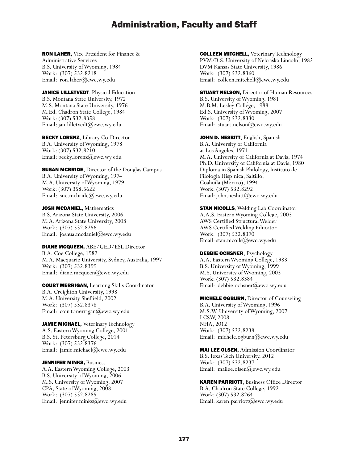RON LAHER, Vice President for Finance & Administrative Services B.S. University of Wyoming, 1984 Work: (307) 532.8218 Email: ron.laher@ewc.wy.edu

JANICE LILLETVEDT, Physical Education B.S. Montana State University, 1972 M.S. Montana State University, 1976 M.Ed. Chadron State College, 1984 Work: (307) 532.8358 Email: jan.lilletvedt@ewc.wy.edu

BECKY LORENZ, Library Co-Director B.A. University of Wyoming, 1978 Work: (307) 532.8210 Email: becky.lorenz@ewc.wy.edu

**SUSAN MCBRIDE, Director of the Douglas Campus** B.A. University of Wyoming, 1974 M.A. University of Wyoming, 1979 Work: (307) 358.5622 Email: sue.mcbride@ewc.wy.edu

JOSH MCDANIEL, Mathematics B.S. Arizona State University, 2006 M.A. Arizona State University, 2008 Work: (307) 532.8256 Email: joshua.mcdaniel@ewc.wy.edu

DIANE MCQUEEN, ABE/GED/ESL Director B.A. Coe College, 1982 M.A. Macquarie University, Sydney, Australia, 1997 Work: (307) 532.8399 Email: diane.mcqueen@ewc.wy.edu

COURT MERRIGAN, Learning Skills Coordinator B.A. Creighton University, 1998 M.A. University Sheffield, 2002 Work: (307) 532.8378 Email: court.merrigan@ewc.wy.edu

JAMIE MICHAEL, Veterinary Technology A.S. Eastern Wyoming College, 2001 B.S. St. Petersburg College, 2014 Work: (307) 532.8376 Email: jamie.michael@ewc.wy.edu

**JENNIFER MINKS, Business** A.A. Eastern Wyoming College, 2003 B.S. University of Wyoming, 2006 M.S. University of Wyoming, 2007 CPA, State of Wyoming, 2008 Work: (307) 532.8285 Email: jennifer.minks@ewc.wy.edu

COLLEEN MITCHELL, Veterinary Technology PVM/B.S. University of Nebraska Lincoln, 1982 DVM Kansas State University, 1986 Work: (307) 532.8360 Email: colleen.mitchell@ewc.wy.edu

**STUART NELSON, Director of Human Resources** B.S. University of Wyoming, 1981 M.B.M. Lesley College, 1988 Ed.S. University of Wyoming, 2007 Work: (307) 532.8330 Email: stuart.nelson@ewc.wy.edu

JOHN D. NESBITT, English, Spanish B.A. University of California at Los Angeles, 1971 M.A. University of California at Davis, 1974 Ph.D. University of California at Davis, 1980 Diploma in Spanish Philology, Instituto de Filologia Hisp·nica, Saltillo, Coahuila (Mexico), 1994 Work: (307) 532.8292 Email: john.nesbitt@ewc.wy.edu

**STAN NICOLLS, Welding Lab Coordinator** A.A.S. Eastern Wyoming College, 2003 AWS Certified Structural Welder AWS Certified Welding Educator Work: (307) 532.8370 Email: stan.nicolls@ewc.wy.edu

DEBBIE OCHSNER, Psychology A.A. Eastern Wyoming College, 1983 B.S. University of Wyoming, 1999 M.S. University of Wyoming, 2003 Work: (307) 532.8384 Email: debbie.ochsner@ewc.wy.edu

MICHELE OGBURN, Director of Counseling B.A. University of Wyoming, 1996 M.S.W. University of Wyoming, 2007 LCSW, 2008 NHA, 2012 Work: (307) 532.8238 Email: michele.ogburn@ewc.wy.edu

MAI LEE OLSEN, Admission Coordinator B.S. Texas Tech University, 2012 Work: (307) 532.8237 Email: mailee.olsen@ewc.wy.edu

KAREN PARRIOTT, Business Office Director B.A. Chadron State College, 1992 Work: (307) 532.8264 Email: karen.parriott@ewc.wy.edu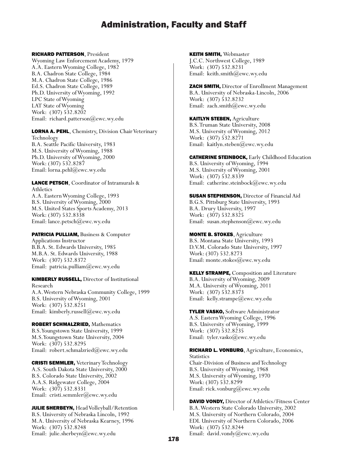#### RICHARD PATTERSON, President

Wyoming Law Enforcement Academy, 1979 A.A. Eastern Wyoming College, 1982 B.A. Chadron State College, 1984 M.A. Chadron State College, 1986 Ed.S. Chadron State College, 1989 Ph.D. University of Wyoming, 1992 LPC State of Wyoming LAT State of Wyoming Work: (307) 532.8202 Email: richard.patterson@ewc.wy.edu

LORNA A. PEHL, Chemistry, Division Chair Veterinary Technology B.A. Seattle Pacific University, 1983 M.S. University of Wyoming, 1988 Ph.D. University of Wyoming, 2000 Work: (307) 532.8287 Email: lorna.pehl@ewc.wy.edu

LANCE PETSCH, Coordinator of Intramurals & Athletics A.A. Eastern Wyoming College, 1993 B.S. University of Wyoming, 2000 M.S. United States Sports Academy, 2013 Work: (307) 532.8338

#### PATRICIA PULLIAM, Business & Computer

Applications Instructor B.B.A. St. Edwards University, 1985 M.B.A. St. Edwards University, 1988 Work: (307) 532.8372 Email: patricia.pulliam@ewc.wy.edu

Email: lance.petsch@ewc.wy.edu

KIMBERLY RUSSELL, Director of Institutional Research A.A. Western Nebraska Community College, 1999 B.S. University of Wyoming, 2001 Work: (307) 532.8251 Email: kimberly.russell@ewc.wy.edu

ROBERT SCHMALZRIED, Mathematics B.S. Youngstown State University, 1999 M.S. Youngstown State University, 2004 Work: (307) 532.8295 Email: robert.schmalzried@ewc.wy.edu

CRISTI SEMMLER, Veterinary Technology A.S. South Dakota State University, 2000 B.S. Colorado State University, 2002 A.A.S. Ridgewater College, 2004 Work: (307) 532.8331 Email: cristi.semmler@ewc.wy.edu

JULIE SHERBEYN, Head Volleyball/Retention B.S. University of Nebraska Lincoln, 1992 M.A. University of Nebraska Kearney, 1996 Work: (307) 532.8248 Email: julie.sherbeyn@ewc.wy.edu

KEITH SMITH, Webmaster J.C.C. Northwest College, 1989 Work: (307) 532.8231 Email: keith.smith@ewc.wy.edu

ZACH SMITH, Director of Enrollment Management B.A. University of Nebraska-Lincoln, 2006 Work: (307) 532.8232 Email: zach.smith@ewc.wy.edu

KAITLYN STEBEN, Agriculture B.S. Truman State University, 2008 M.S. University of Wyoming, 2012 Work: (307) 532.8271 Email: kaitlyn.steben@ewc.wy.edu

CATHERINE STEINBOCK, Early Childhood Education B.S. University of Wyoming, 1994 M.S. University of Wyoming, 2001 Work: (307) 532.8339 Email: catherine.steinbock@ewc.wy.edu

**SUSAN STEPHENSON, Director of Financial Aid** B.G.S. Pittsburg State University, 1993 B.A. Drury University, 1997 Work: (307) 532.8325 Email: susan.stephenson@ewc.wy.edu

MONTE B. STOKES, Agriculture B.S. Montana State University, 1993 D.V.M. Colorado State University, 1997 Work: (307) 532.8273 Email: monte.stokes@ewc.wy.edu

KELLY STRAMPE, Composition and Literature B.A. University of Wyoming, 2009 M.A. University of Wyoming, 2011 Work: (307) 532.8373 Email: kelly.strampe@ewc.wy.edu

TYLER VASKO, Software Administrator A.S. Eastern Wyoming College, 1996 B.S. University of Wyoming, 1999 Work: (307) 532.8235 Email: tyler.vasko@ewc.wy.edu

RICHARD L. VONBURG, Agriculture, Economics, **Statistics** Chair-Division of Business and Technology B.S. University of Wyoming, 1968 M.S. University of Wyoming, 1970 Work: (307) 532.8299 Email: rick.vonburg@ewc.wy.edu

DAVID VONDY, Director of Athletics/Fitness Center B.A. Western State Colorado University, 2002 M.S. University of Northern Colorado, 2004 EDL University of Northern Colorado, 2006 Work: (307) 532.8244 Email: david.vondy@ewc.wy.edu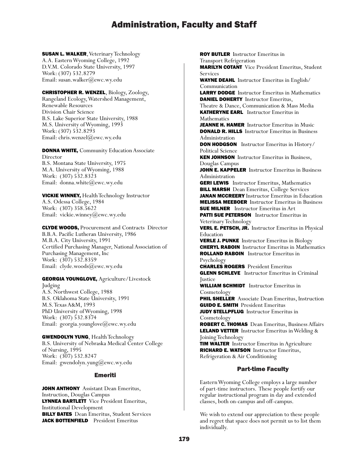**SUSAN L. WALKER, Veterinary Technology** A.A. Eastern Wyoming College, 1992 D.V.M. Colorado State University, 1997 Work: (307) 532.8279 Email: susan.walker@ewc.wy.edu

CHRISTOPHER R. WENZEL, Biology, Zoology, Rangeland Ecology, Watershed Management, Renewable Resources Division Chair Science B.S. Lake Superior State University, 1988 M.S. University of Wyoming, 1993 Work: (307) 532.8293 Email: chris.wenzel@ewc.wy.edu

**DONNA WHITE, Community Education Associate** Director B.S. Montana State University, 1975 M.A. University of Wyoming, 1988 Work: (307) 532.8323 Email: donna.white@ewc.wy.edu

VICKIE WINNEY, Health Technology Instructor A.S. Odessa College, 1984 Work: (307) 358.5622 Email: vickie.winney@ewc.wy.edu

CLYDE WOODS, Procurement and Contracts Director B.B.A. Pacific Lutheran University, 1986 M.B.A. City University, 1991 Certified Purchasing Manager, National Association of Purchasing Management, Inc Work: (307) 532.8359 Email: clyde.woods@ewc.wy.edu

GEORGIA YOUNGLOVE, Agriculture/Livestock Judging A.S. Northwest College, 1988 B.S. Oklahoma State University, 1991 M.S. Texas A&M, 1993 PhD University of Wyoming, 1998 Work: (307) 532.8374 Email: georgia.younglove@ewc.wy.edu

GWENDOLYN YUNG, Health Technology B.S. University of Nebraska Medical Center College of Nursing, 1995 Work: (307) 532.8247 Email: gwendolyn.yung@ewc.wy.edu

### Emeriti

JOHN ANTHONY Assistant Dean Emeritus, Instruction, Douglas Campus LYNNEA BARTLETT Vice President Emeritus, Institutional Development **BILLY BATES** Dean Emeritus, Student Services JACK BOTTENFIELD President Emeritus

ROY BUTLER Instructor Emeritus in Transport Refrigeration MARILYN COTANT Vice President Emeritus, Student Services WAYNE DEAHL Instructor Emeritus in English/ Communication LARRY DODGE Instructor Emeritus in Mathematics DANIEL DOHERTY Instructor Emeritus, Theatre & Dance, Communication & Mass Media KATHERYNE EARL Instructor Emeritus in Mathematics JEANNE H. HAMER Instructor Emeritus in Music DONALD R. HILLS Instructor Emeritus in Business Administration DON HODGSON Instructor Emeritus in History/ Political Science **KEN JOHNSON** Instructor Emeritus in Business, Douglas Campus JOHN E. KAPPELER Instructor Emeritus in Business Administration **GERI LEWIS** Instructor Emeritus, Mathematics **BILL MARSH** Dean Emeritus, College Services JANAN MCCREERY Instructor Emeritus in Education MELISSA MEEBOER Instructor Emeritus in Business **SUE MILNER** Instructor Emeritus in Art PATTI SUE PETERSON Instructor Emeritus in Veterinary Technology VERL E. PETSCH, JR. Instructor Emeritus in Physical Education VERLE J. PUNKE Instructor Emeritus in Biology CHERYL RABOIN Instructor Emeritus in Mathematics ROLLAND RABOIN Instructor Emeritus in Psychology CHARLES ROGERS President Emeritus **GLENN SCHLEVE** Instructor Emeritus in Criminal Justice WILLIAM SCHMIDT Instructor Emeritus in Cosmetology **PHIL SHELLER** Associate Dean Emeritus, Instruction GUIDO E. SMITH President Emeritus **JUDY STELLPFLUG** Instructor Emeritus in Cosmetology ROBERT C. THOMAS Dean Emeritus, Business Affairs LELAND VETTER Instructor Emeritus in Welding & Joining Technology **TIM WALTER** Instructor Emeritus in Agriculture RICHARD E. WATSON Instructor Emeritus, Refrigeration & Air Conditioning Part-time Faculty Eastern Wyoming College employs a large number

of part-time instructors. These people fortify our regular instructional program in day and extended classes, both on-campus and off-campus.

We wish to extend our appreciation to these people and regret that space does not permit us to list them individually.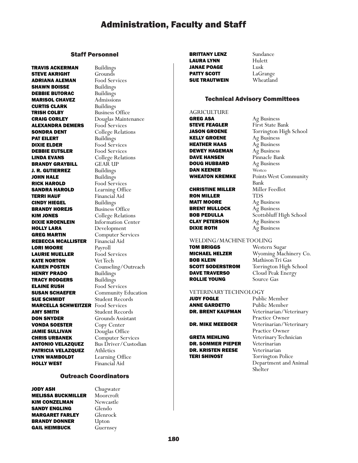#### Staff Personnel

**TRAVIS ACKERMAN** Buildings<br>**STEVE AKRIGHT** Grounds **STEVE AKRIGHT** Grounds<br>**ADRIANA ALEMAN** Food Services **ADRIANA ALEMAN** Food Services **SHAWN BOISSE** Buildings **SHAWN BOISSE DEBBIE BUTORAC** Buildings MARISOL CHAVEZ Admissions **CURTIS CLARK** Buildings<br>**TRISH COLBY** Business **CRAIG CORLEY** Douglas Maintenance<br>**ALEXANDRA DEMERS** Food Services **ALEXANDRA DEMERS<br>SONDRA DENT** PAT EILERT **DIXIE ELDER** Food Services<br>**DEBBIE EUTSLER** Food Services DEBBIE EUTSLER **LINDA EVANS** College Relations<br> **BRANDY GRAYBILL** GEAR UP **BRANDY GRAYBILL** J. R. GUTIERREZ Buildings JOHN HALE Buildings **RICK HAROLD** Food Services<br>**SANDRA HAROLD** Learning Office **SANDRA HAROLD TERRI HAUF** Financial Aid<br>**CINDY HIEGEL** Buildings **CINDY HIEGEL<br>BRANDY HOREJS** KIM JONES College Relations **DIXIE KROENLEIN** Information Center<br> **HOLLY LARA** Development **GREG MARTIN Computer Services**<br>**REBECCA MCALLISTER** Financial Aid REBECCA MCALLISTER Financi<br> **LORI MOORE** Payroll **LORI MOORE LAURIE MUELLER** Food Services<br> **KATE NORTON** Vet Tech KATE NORTON<br>KAREN POSTEN **HENRY PRADO** Buildings **TRACY RODGERS** Buildings<br>**ELAINE RUSH** Food Serve **SUSAN SCHAEFER** Community Education **SUE SCHMIDT** Student Records<br>**MARCELLA SCHWEITZER** Food Services **MARCELLA SCHWEITZER AMY SMITH** Student Records<br> **DON SNYDER** Grounds Assistan **VONDA SOESTER** Copy Center JAMIE SULLIVAN Douglas Office **CHRIS URBANEK** Computer Services<br>**ANTONIO VELAZOUEZ** Bus Driver/Custodian **ANTONIO VELAZQUEZ PATRICIA VELAZQUEZ** Athletics<br>**LYNN WAMBOLDT** Learning **LYNN WAMBOLDT** Learning Office<br> **HOLLY WEST** Financial Aid

Business Office College Relations<br>Buildings Business Office Development Counseling/Outreach Food Services Grounds Assistant Financial Aid

#### Outreach Coordinators

Chugwater Moorcroft Newcastle Glendo Glenrock Upton Guernsey

| JODY ASH                  |  |
|---------------------------|--|
| <b>MELISSA BUCKMILLER</b> |  |
| KIM CONZELMAN             |  |
| SANDY ENGLING             |  |
| MARGARET FARLEY           |  |
| <b>BRANDY DONNER</b>      |  |
| GAIL HEIMBUCK             |  |

**BRITTANY LENZ** Sundance<br> **LAURA LYNN** Hulett **LAURA LYNN** Hule<br>**JANAE POAGE** Lusk **JANAE POAGE PATTY SCOTT** LaGrange **SUE TRAUTWEIN** Wheatland

#### Technical Advisory Committees

AGRICULTURE GREG ASA **Ag Business**<br>**STEVE FEAGLER** First State B **KELLY GROENE** Ag Business<br>**HEATHER HAAS** Ag Business **HEATHER HAAS DEWEY HAGEMAN** Ag Business **DAVE HANSEN** Pinnacle Bank<br>**DOUG HUBBARD** Ag Business **DOUG HUBBARD** Ag Bus<br>**DAN KEENER** Westco **DAN KEENER** 

**CHRISTINE MILLER** Miller Feedlot **RON MILLER** TDS<br>**MATT MOORE** Ag Business **MATT MOORE BRENT MULLOCK** Ag Business **CLAY PETERSON** Ag Business **DIXIE ROTH** Ag Business

First State Bank JASON GROENE Torrington High School **WHEATON KREMKE** Points West Community Bank **BOB PEDULLA** Scottsbluff High School

#### WELDING/MACHINE TOOLING

**TOM BRIGGS** Western Sugar<br>**MICHAEL HELZER** Wyoming Mach **DAVE TRAVERSO** Cloud Peak Energy<br>**ROLLIE YOUNG** Source Gas **ROLLIE YOUNG** 

**MICHAEL HELZER** Wyoming Machinery Co.<br>**ROB KLEIN** Mathison Tri Gas Mathison Tri Gas **SCOTT SODERSTROM** Torrington High School

# **VETERINARY TECHNOLOGY**<br>**JUDY FOGLE** Publi

**ANNE GARDETTO** Public Member

DR. SOMMER PIEPER Veterinarian **DR. KRISTEN REESE** Veterinarian<br>**TERI SHINOST** Torrington Police

Public Member DR. BRENT KAUFMAN Veterinarian/Veterinary Practice Owner **DR. MIKE MEEBOER** Veterinarian/Veterinary Practice Owner<br>GRETA MEHLING Peterinary Technology Veterinary Technician Department and Animal<br>Shelter